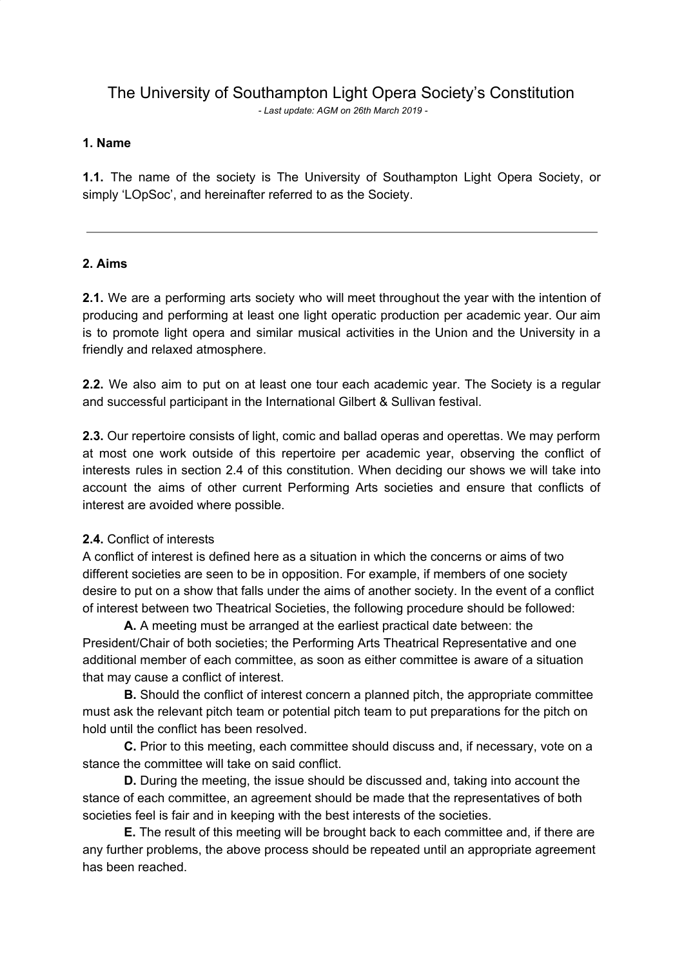# The University of Southampton Light Opera Society's Constitution

*- Last update: AGM on 26th March 2019 -*

# **1. Name**

**1.1.** The name of the society is The University of Southampton Light Opera Society, or simply 'LOpSoc', and hereinafter referred to as the Society.

## **2. Aims**

**2.1.** We are a performing arts society who will meet throughout the year with the intention of producing and performing at least one light operatic production per academic year. Our aim is to promote light opera and similar musical activities in the Union and the University in a friendly and relaxed atmosphere.

**2.2.** We also aim to put on at least one tour each academic year. The Society is a regular and successful participant in the International Gilbert & Sullivan festival.

**2.3.** Our repertoire consists of light, comic and ballad operas and operettas. We may perform at most one work outside of this repertoire per academic year, observing the conflict of interests rules in section 2.4 of this constitution. When deciding our shows we will take into account the aims of other current Performing Arts societies and ensure that conflicts of interest are avoided where possible.

## **2.4.** Conflict of interests

A conflict of interest is defined here as a situation in which the concerns or aims of two different societies are seen to be in opposition. For example, if members of one society desire to put on a show that falls under the aims of another society. In the event of a conflict of interest between two Theatrical Societies, the following procedure should be followed:

**A.** A meeting must be arranged at the earliest practical date between: the President/Chair of both societies; the Performing Arts Theatrical Representative and one additional member of each committee, as soon as either committee is aware of a situation that may cause a conflict of interest.

**B.** Should the conflict of interest concern a planned pitch, the appropriate committee must ask the relevant pitch team or potential pitch team to put preparations for the pitch on hold until the conflict has been resolved.

**C.** Prior to this meeting, each committee should discuss and, if necessary, vote on a stance the committee will take on said conflict.

**D.** During the meeting, the issue should be discussed and, taking into account the stance of each committee, an agreement should be made that the representatives of both societies feel is fair and in keeping with the best interests of the societies.

**E.** The result of this meeting will be brought back to each committee and, if there are any further problems, the above process should be repeated until an appropriate agreement has been reached.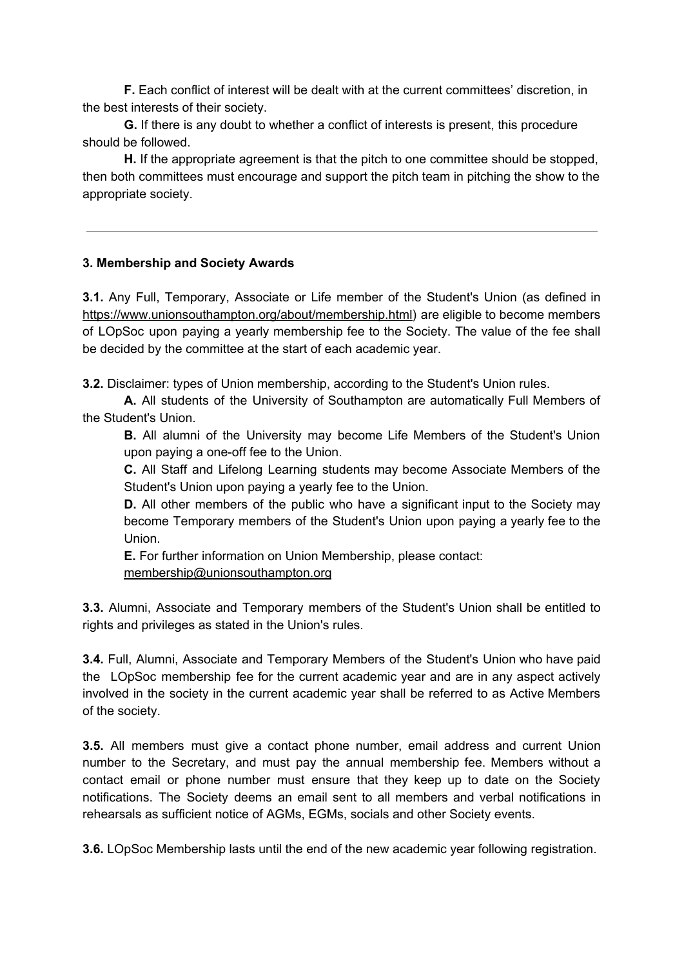**F.** Each conflict of interest will be dealt with at the current committees' discretion, in the best interests of their society.

**G.** If there is any doubt to whether a conflict of interests is present, this procedure should be followed.

**H.** If the appropriate agreement is that the pitch to one committee should be stopped, then both committees must encourage and support the pitch team in pitching the show to the appropriate society.

## **3. Membership and Society Awards**

**3.1.** Any Full, Temporary, Associate or Life member of the Student's Union (as defined in [https://www.unionsouthampton.org/about/membership.html\)](https://www.unionsouthampton.org/about/membership.html) are eligible to become members of LOpSoc upon paying a yearly membership fee to the Society. The value of the fee shall be decided by the committee at the start of each academic year.

**3.2.** Disclaimer: types of Union membership, according to the Student's Union rules.

**A.** All students of the University of Southampton are automatically Full Members of the Student's Union.

**B.** All alumni of the University may become Life Members of the Student's Union upon paying a one-off fee to the Union.

**C.** All Staff and Lifelong Learning students may become Associate Members of the Student's Union upon paying a yearly fee to the Union.

**D.** All other members of the public who have a significant input to the Society may become Temporary members of the Student's Union upon paying a yearly fee to the Union.

**E.** For further information on Union Membership, please contact: [membership@unionsouthampton.org](mailto:membership@unionsouthampton.org)

**3.3.** Alumni, Associate and Temporary members of the Student's Union shall be entitled to rights and privileges as stated in the Union's rules.

**3.4.** Full, Alumni, Associate and Temporary Members of the Student's Union who have paid the LOpSoc membership fee for the current academic year and are in any aspect actively involved in the society in the current academic year shall be referred to as Active Members of the society.

**3.5.** All members must give a contact phone number, email address and current Union number to the Secretary, and must pay the annual membership fee. Members without a contact email or phone number must ensure that they keep up to date on the Society notifications. The Society deems an email sent to all members and verbal notifications in rehearsals as sufficient notice of AGMs, EGMs, socials and other Society events.

**3.6.** LOpSoc Membership lasts until the end of the new academic year following registration.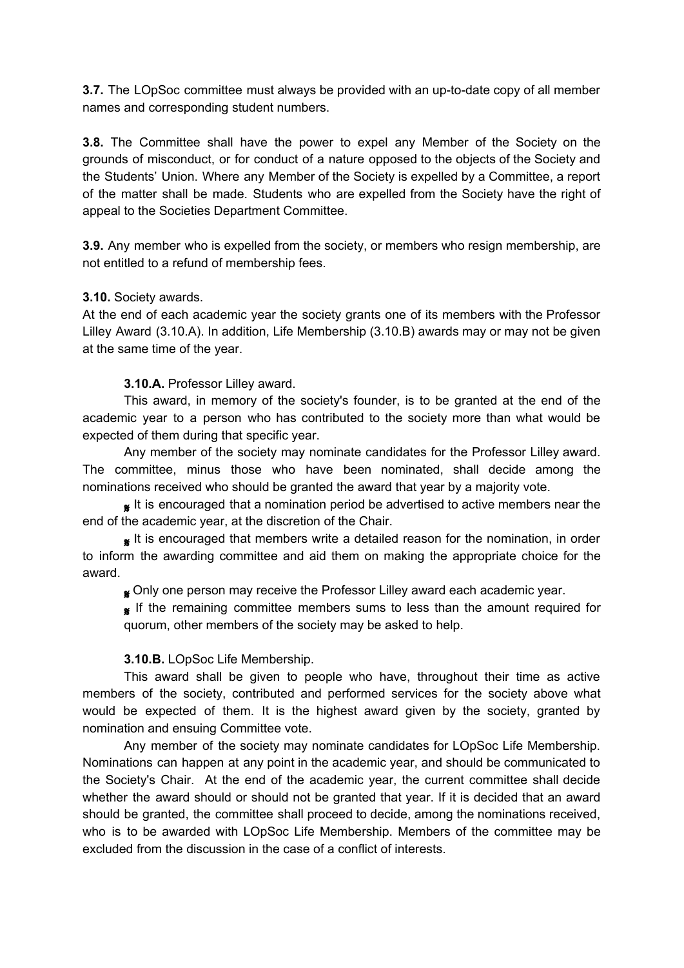**3.7.** The LOpSoc committee must always be provided with an up-to-date copy of all member names and corresponding student numbers.

**3.8.** The Committee shall have the power to expel any Member of the Society on the grounds of misconduct, or for conduct of a nature opposed to the objects of the Society and the Students' Union. Where any Member of the Society is expelled by a Committee, a report of the matter shall be made. Students who are expelled from the Society have the right of appeal to the Societies Department Committee.

**3.9.** Any member who is expelled from the society, or members who resign membership, are not entitled to a refund of membership fees.

## **3.10.** Society awards.

At the end of each academic year the society grants one of its members with the Professor Lilley Award (3.10.A). In addition, Life Membership (3.10.B) awards may or may not be given at the same time of the year.

## **3.10.A.** Professor Lilley award.

This award, in memory of the society's founder, is to be granted at the end of the academic year to a person who has contributed to the society more than what would be expected of them during that specific year.

Any member of the society may nominate candidates for the Professor Lilley award. The committee, minus those who have been nominated, shall decide among the nominations received who should be granted the award that year by a majority vote.

 It is encouraged that a nomination period be advertised to active members near the end of the academic year, at the discretion of the Chair.

It is encouraged that members write a detailed reason for the nomination, in order to inform the awarding committee and aid them on making the appropriate choice for the award.

**g** Only one person may receive the Professor Lilley award each academic year.

If the remaining committee members sums to less than the amount required for quorum, other members of the society may be asked to help.

## **3.10.B.** LOpSoc Life Membership.

This award shall be given to people who have, throughout their time as active members of the society, contributed and performed services for the society above what would be expected of them. It is the highest award given by the society, granted by nomination and ensuing Committee vote.

Any member of the society may nominate candidates for LOpSoc Life Membership. Nominations can happen at any point in the academic year, and should be communicated to the Society's Chair. At the end of the academic year, the current committee shall decide whether the award should or should not be granted that year. If it is decided that an award should be granted, the committee shall proceed to decide, among the nominations received, who is to be awarded with LOpSoc Life Membership. Members of the committee may be excluded from the discussion in the case of a conflict of interests.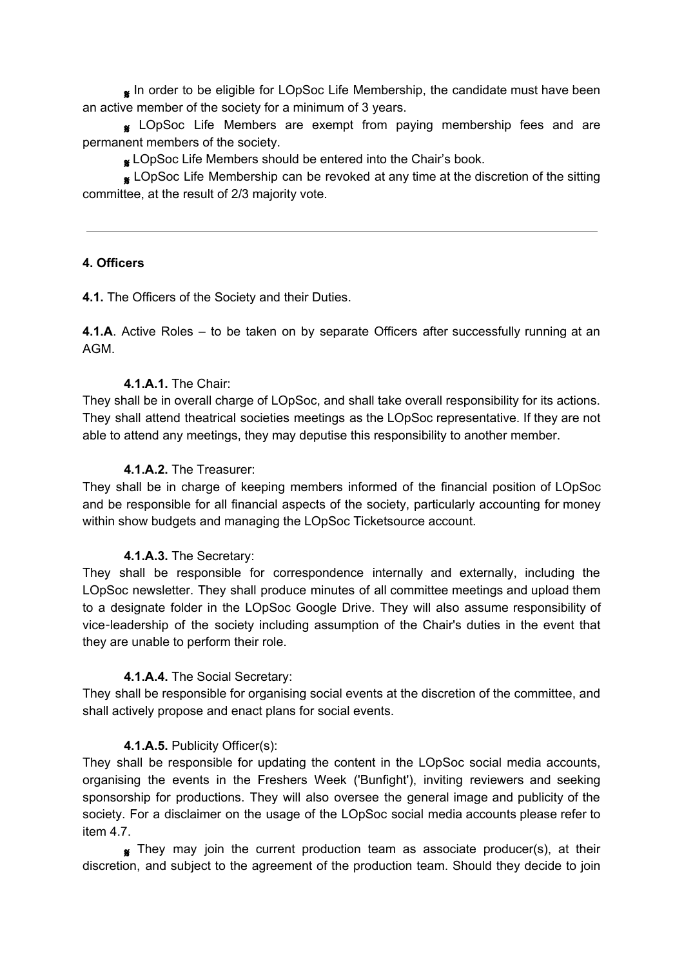In order to be eligible for LOpSoc Life Membership, the candidate must have been an active member of the society for a minimum of 3 years.

**&** LOpSoc Life Members are exempt from paying membership fees and are permanent members of the society.

**& LOpSoc Life Members should be entered into the Chair's book.** 

**K** LOpSoc Life Membership can be revoked at any time at the discretion of the sitting committee, at the result of 2/3 majority vote.

## **4. Officers**

**4.1.** The Officers of the Society and their Duties.

**4.1.A**. Active Roles – to be taken on by separate Officers after successfully running at an AGM.

## **4.1.A.1.** The Chair:

They shall be in overall charge of LOpSoc, and shall take overall responsibility for its actions. They shall attend theatrical societies meetings as the LOpSoc representative. If they are not able to attend any meetings, they may deputise this responsibility to another member.

## **4.1.A.2.** The Treasurer:

They shall be in charge of keeping members informed of the financial position of LOpSoc and be responsible for all financial aspects of the society, particularly accounting for money within show budgets and managing the LOpSoc Ticketsource account.

# **4.1.A.3.** The Secretary:

They shall be responsible for correspondence internally and externally, including the LOpSoc newsletter. They shall produce minutes of all committee meetings and upload them to a designate folder in the LOpSoc Google Drive. They will also assume responsibility of vice-leadership of the society including assumption of the Chair's duties in the event that they are unable to perform their role.

## **4.1.A.4.** The Social Secretary:

They shall be responsible for organising social events at the discretion of the committee, and shall actively propose and enact plans for social events.

# **4.1.A.5.** Publicity Officer(s):

They shall be responsible for updating the content in the LOpSoc social media accounts, organising the events in the Freshers Week ('Bunfight'), inviting reviewers and seeking sponsorship for productions. They will also oversee the general image and publicity of the society. For a disclaimer on the usage of the LOpSoc social media accounts please refer to item 4.7.

 $\bullet$  They may join the current production team as associate producer(s), at their discretion, and subject to the agreement of the production team. Should they decide to join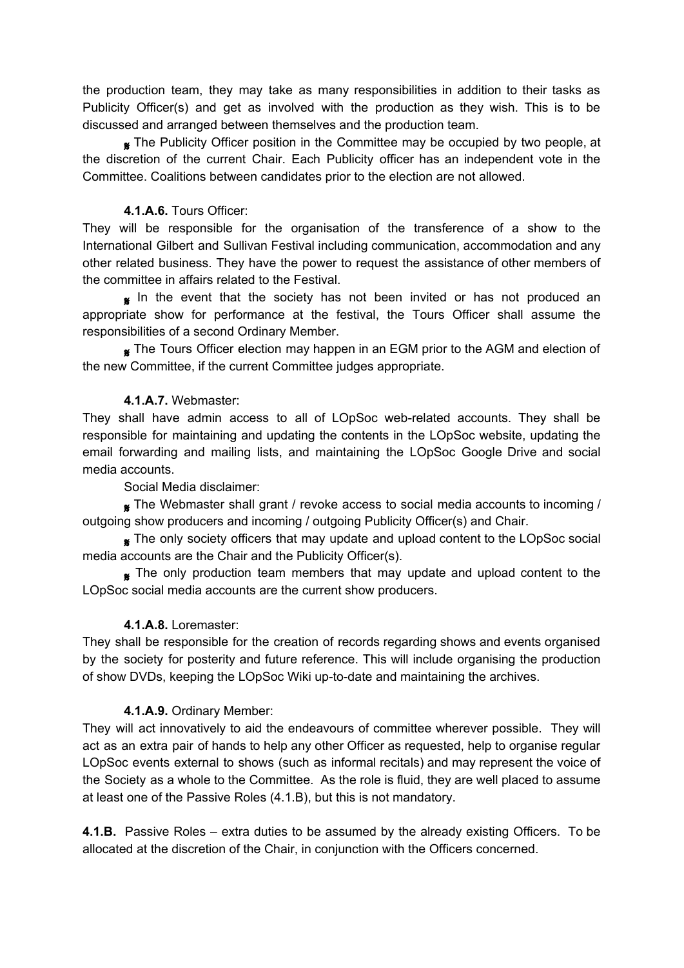the production team, they may take as many responsibilities in addition to their tasks as Publicity Officer(s) and get as involved with the production as they wish. This is to be discussed and arranged between themselves and the production team.

**K** The Publicity Officer position in the Committee may be occupied by two people, at the discretion of the current Chair. Each Publicity officer has an independent vote in the Committee. Coalitions between candidates prior to the election are not allowed.

# **4.1.A.6.** Tours Officer:

They will be responsible for the organisation of the transference of a show to the International Gilbert and Sullivan Festival including communication, accommodation and any other related business. They have the power to request the assistance of other members of the committee in affairs related to the Festival.

In the event that the society has not been invited or has not produced an appropriate show for performance at the festival, the Tours Officer shall assume the responsibilities of a second Ordinary Member.

 The Tours Officer election may happen in an EGM prior to the AGM and election of the new Committee, if the current Committee judges appropriate.

## **4.1.A.7.** Webmaster:

They shall have admin access to all of LOpSoc web-related accounts. They shall be responsible for maintaining and updating the contents in the LOpSoc website, updating the email forwarding and mailing lists, and maintaining the LOpSoc Google Drive and social media accounts.

Social Media disclaimer:

 The Webmaster shall grant / revoke access to social media accounts to incoming / outgoing show producers and incoming / outgoing Publicity Officer(s) and Chair.

**K** The only society officers that may update and upload content to the LOpSoc social media accounts are the Chair and the Publicity Officer(s).

 The only production team members that may update and upload content to the LOpSoc social media accounts are the current show producers.

# **4.1.A.8.** Loremaster:

They shall be responsible for the creation of records regarding shows and events organised by the society for posterity and future reference. This will include organising the production of show DVDs, keeping the LOpSoc Wiki up-to-date and maintaining the archives.

# **4.1.A.9.** Ordinary Member:

They will act innovatively to aid the endeavours of committee wherever possible. They will act as an extra pair of hands to help any other Officer as requested, help to organise regular LOpSoc events external to shows (such as informal recitals) and may represent the voice of the Society as a whole to the Committee. As the role is fluid, they are well placed to assume at least one of the Passive Roles (4.1.B), but this is not mandatory.

**4.1.B.** Passive Roles – extra duties to be assumed by the already existing Officers. To be allocated at the discretion of the Chair, in conjunction with the Officers concerned.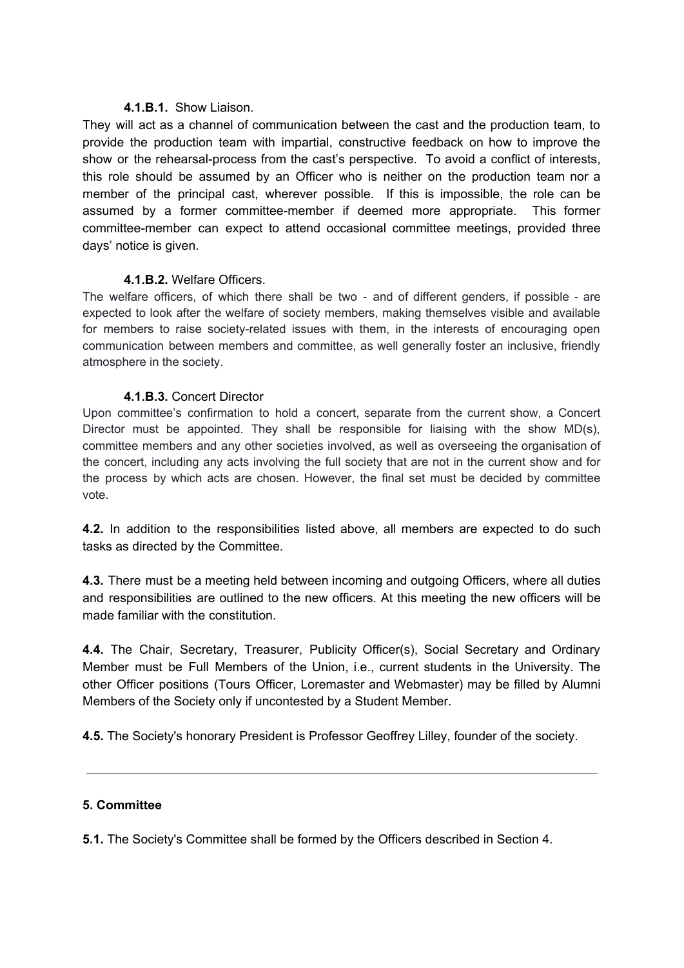# **4.1.B.1.** Show Liaison.

They will act as a channel of communication between the cast and the production team, to provide the production team with impartial, constructive feedback on how to improve the show or the rehearsal-process from the cast's perspective. To avoid a conflict of interests, this role should be assumed by an Officer who is neither on the production team nor a member of the principal cast, wherever possible. If this is impossible, the role can be assumed by a former committee-member if deemed more appropriate. This former committee-member can expect to attend occasional committee meetings, provided three days' notice is given.

## **4.1.B.2.** Welfare Officers.

The welfare officers, of which there shall be two - and of different genders, if possible - are expected to look after the welfare of society members, making themselves visible and available for members to raise society-related issues with them, in the interests of encouraging open communication between members and committee, as well generally foster an inclusive, friendly atmosphere in the society.

## **4.1.B.3.** Concert Director

Upon committee's confirmation to hold a concert, separate from the current show, a Concert Director must be appointed. They shall be responsible for liaising with the show  $MD(s)$ , committee members and any other societies involved, as well as overseeing the organisation of the concert, including any acts involving the full society that are not in the current show and for the process by which acts are chosen. However, the final set must be decided by committee vote.

**4.2.** In addition to the responsibilities listed above, all members are expected to do such tasks as directed by the Committee.

**4.3.** There must be a meeting held between incoming and outgoing Officers, where all duties and responsibilities are outlined to the new officers. At this meeting the new officers will be made familiar with the constitution.

**4.4.** The Chair, Secretary, Treasurer, Publicity Officer(s), Social Secretary and Ordinary Member must be Full Members of the Union, i.e., current students in the University. The other Officer positions (Tours Officer, Loremaster and Webmaster) may be filled by Alumni Members of the Society only if uncontested by a Student Member.

**4.5.** The Society's honorary President is Professor Geoffrey Lilley, founder of the society.

## **5. Committee**

**5.1.** The Society's Committee shall be formed by the Officers described in Section 4.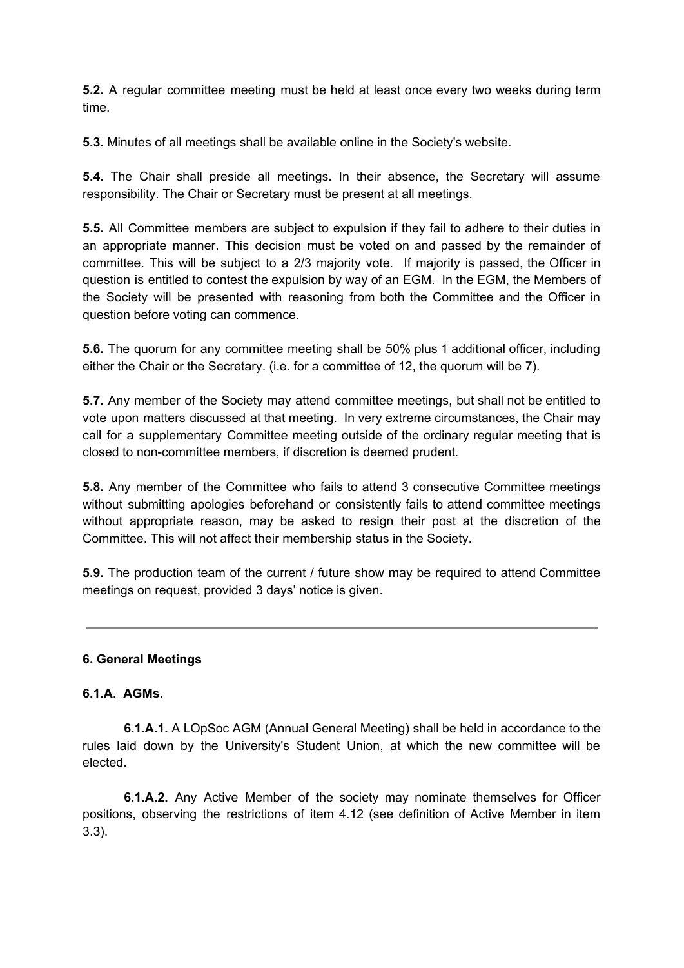**5.2.** A regular committee meeting must be held at least once every two weeks during term time.

**5.3.** Minutes of all meetings shall be available online in the Society's website.

**5.4.** The Chair shall preside all meetings. In their absence, the Secretary will assume responsibility. The Chair or Secretary must be present at all meetings.

**5.5.** All Committee members are subject to expulsion if they fail to adhere to their duties in an appropriate manner. This decision must be voted on and passed by the remainder of committee. This will be subject to a 2/3 majority vote. If majority is passed, the Officer in question is entitled to contest the expulsion by way of an EGM. In the EGM, the Members of the Society will be presented with reasoning from both the Committee and the Officer in question before voting can commence.

**5.6.** The quorum for any committee meeting shall be 50% plus 1 additional officer, including either the Chair or the Secretary. (i.e. for a committee of 12, the quorum will be 7).

**5.7.** Any member of the Society may attend committee meetings, but shall not be entitled to vote upon matters discussed at that meeting. In very extreme circumstances, the Chair may call for a supplementary Committee meeting outside of the ordinary regular meeting that is closed to non-committee members, if discretion is deemed prudent.

**5.8.** Any member of the Committee who fails to attend 3 consecutive Committee meetings without submitting apologies beforehand or consistently fails to attend committee meetings without appropriate reason, may be asked to resign their post at the discretion of the Committee. This will not affect their membership status in the Society.

**5.9.** The production team of the current / future show may be required to attend Committee meetings on request, provided 3 days' notice is given.

## **6. General Meetings**

## **6.1.A. AGMs.**

**6.1.A.1.** A LOpSoc AGM (Annual General Meeting) shall be held in accordance to the rules laid down by the University's Student Union, at which the new committee will be elected.

**6.1.A.2.** Any Active Member of the society may nominate themselves for Officer positions, observing the restrictions of item 4.12 (see definition of Active Member in item 3.3).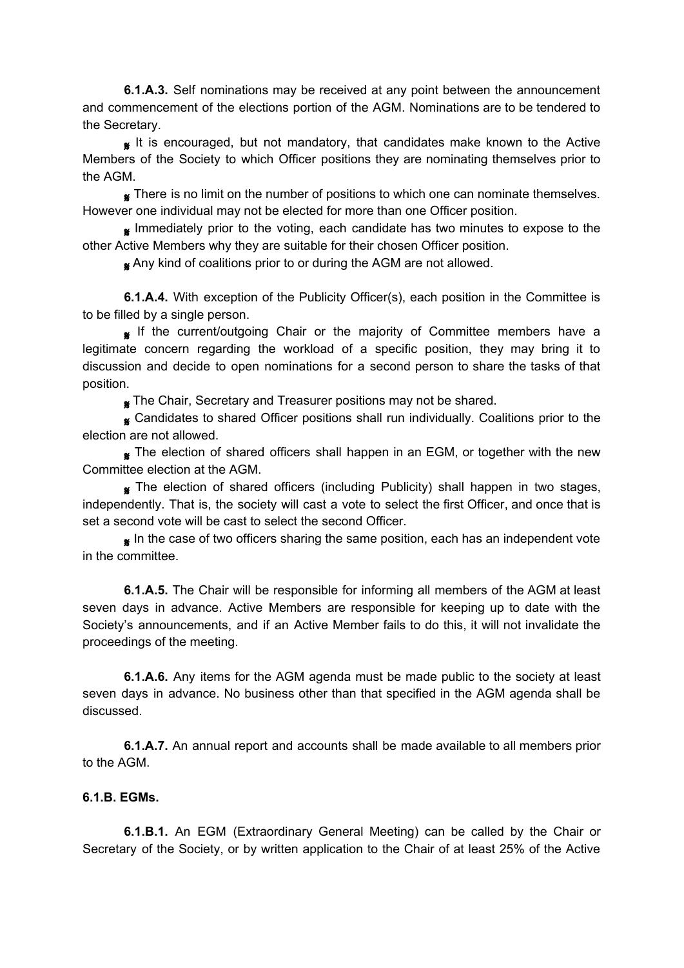**6.1.A.3.** Self nominations may be received at any point between the announcement and commencement of the elections portion of the AGM. Nominations are to be tendered to the Secretary.

It is encouraged, but not mandatory, that candidates make known to the Active Members of the Society to which Officer positions they are nominating themselves prior to the AGM.

**K** There is no limit on the number of positions to which one can nominate themselves. However one individual may not be elected for more than one Officer position.

 Immediately prior to the voting, each candidate has two minutes to expose to the other Active Members why they are suitable for their chosen Officer position.

Any kind of coalitions prior to or during the AGM are not allowed.

**6.1.A.4.** With exception of the Publicity Officer(s), each position in the Committee is to be filled by a single person.

**If the current/outgoing Chair or the majority of Committee members have a** legitimate concern regarding the workload of a specific position, they may bring it to discussion and decide to open nominations for a second person to share the tasks of that position.

**K** The Chair, Secretary and Treasurer positions may not be shared.

**&** Candidates to shared Officer positions shall run individually. Coalitions prior to the election are not allowed.

The election of shared officers shall happen in an EGM, or together with the new Committee election at the AGM.

**K** The election of shared officers (including Publicity) shall happen in two stages, independently. That is, the society will cast a vote to select the first Officer, and once that is set a second vote will be cast to select the second Officer.

In the case of two officers sharing the same position, each has an independent vote in the committee.

**6.1.A.5.** The Chair will be responsible for informing all members of the AGM at least seven days in advance. Active Members are responsible for keeping up to date with the Society's announcements, and if an Active Member fails to do this, it will not invalidate the proceedings of the meeting.

**6.1.A.6.** Any items for the AGM agenda must be made public to the society at least seven days in advance. No business other than that specified in the AGM agenda shall be discussed.

**6.1.A.7.** An annual report and accounts shall be made available to all members prior to the AGM.

## **6.1.B. EGMs.**

**6.1.B.1.** An EGM (Extraordinary General Meeting) can be called by the Chair or Secretary of the Society, or by written application to the Chair of at least 25% of the Active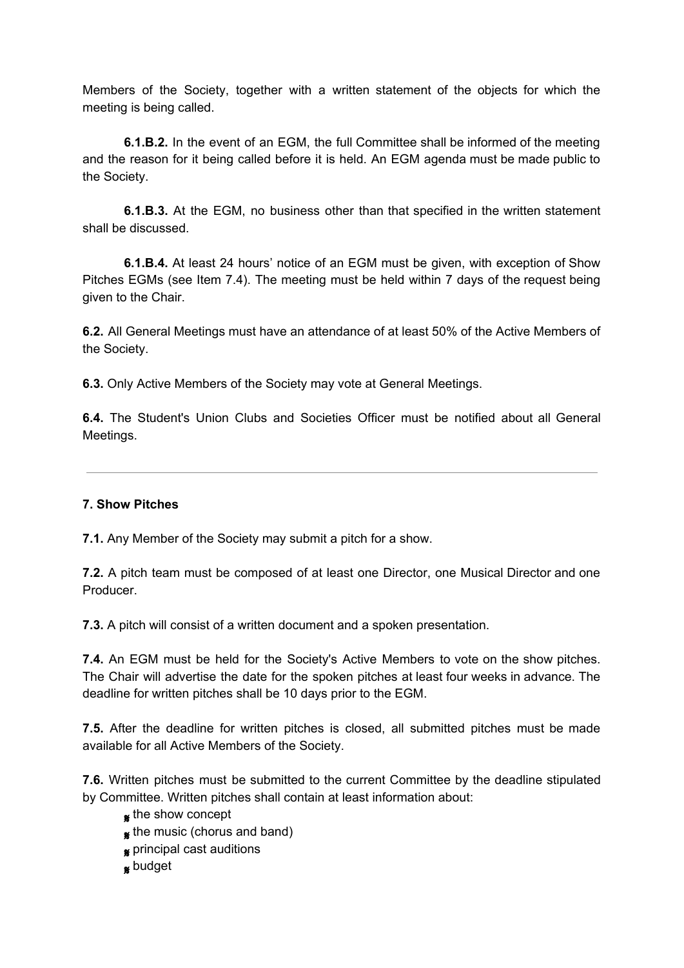Members of the Society, together with a written statement of the objects for which the meeting is being called.

**6.1.B.2.** In the event of an EGM, the full Committee shall be informed of the meeting and the reason for it being called before it is held. An EGM agenda must be made public to the Society.

**6.1.B.3.** At the EGM, no business other than that specified in the written statement shall be discussed.

**6.1.B.4.** At least 24 hours' notice of an EGM must be given, with exception of Show Pitches EGMs (see Item 7.4). The meeting must be held within 7 days of the request being given to the Chair.

**6.2.** All General Meetings must have an attendance of at least 50% of the Active Members of the Society.

**6.3.** Only Active Members of the Society may vote at General Meetings.

**6.4.** The Student's Union Clubs and Societies Officer must be notified about all General Meetings.

## **7. Show Pitches**

**7.1.** Any Member of the Society may submit a pitch for a show.

**7.2.** A pitch team must be composed of at least one Director, one Musical Director and one Producer.

**7.3.** A pitch will consist of a written document and a spoken presentation.

**7.4.** An EGM must be held for the Society's Active Members to vote on the show pitches. The Chair will advertise the date for the spoken pitches at least four weeks in advance. The deadline for written pitches shall be 10 days prior to the EGM.

**7.5.** After the deadline for written pitches is closed, all submitted pitches must be made available for all Active Members of the Society.

**7.6.** Written pitches must be submitted to the current Committee by the deadline stipulated by Committee. Written pitches shall contain at least information about:

- **s** the show concept
- $*$  the music (chorus and band)
- **g** principal cast auditions
- **s**budget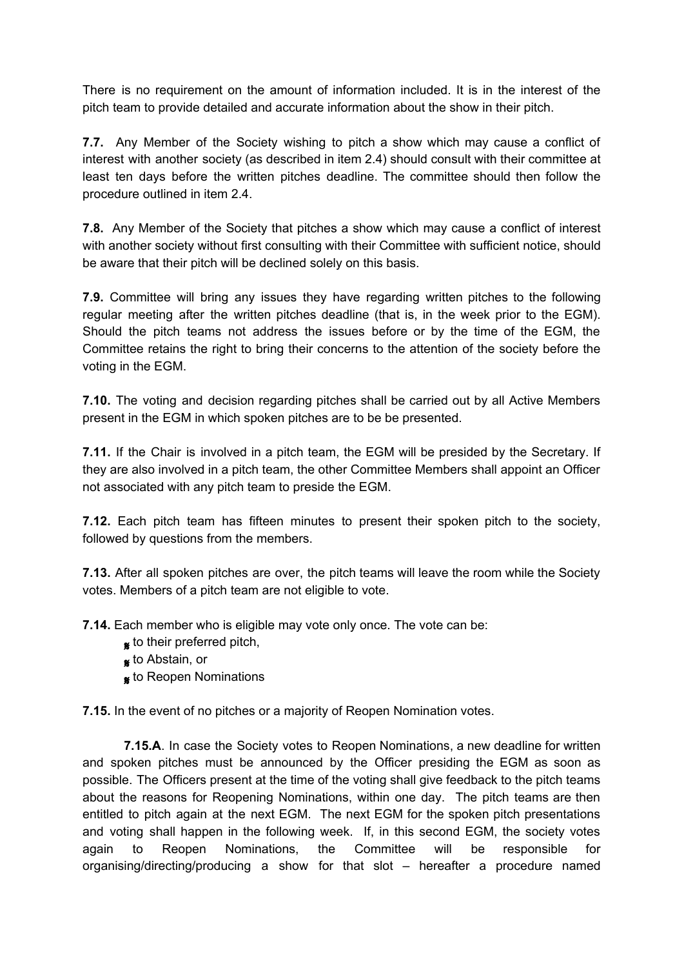There is no requirement on the amount of information included. It is in the interest of the pitch team to provide detailed and accurate information about the show in their pitch.

**7.7.** Any Member of the Society wishing to pitch a show which may cause a conflict of interest with another society (as described in item 2.4) should consult with their committee at least ten days before the written pitches deadline. The committee should then follow the procedure outlined in item 2.4.

**7.8.** Any Member of the Society that pitches a show which may cause a conflict of interest with another society without first consulting with their Committee with sufficient notice, should be aware that their pitch will be declined solely on this basis.

**7.9.** Committee will bring any issues they have regarding written pitches to the following regular meeting after the written pitches deadline (that is, in the week prior to the EGM). Should the pitch teams not address the issues before or by the time of the EGM, the Committee retains the right to bring their concerns to the attention of the society before the voting in the EGM.

**7.10.** The voting and decision regarding pitches shall be carried out by all Active Members present in the EGM in which spoken pitches are to be be presented.

**7.11.** If the Chair is involved in a pitch team, the EGM will be presided by the Secretary. If they are also involved in a pitch team, the other Committee Members shall appoint an Officer not associated with any pitch team to preside the EGM.

**7.12.** Each pitch team has fifteen minutes to present their spoken pitch to the society, followed by questions from the members.

**7.13.** After all spoken pitches are over, the pitch teams will leave the room while the Society votes. Members of a pitch team are not eligible to vote.

**7.14.** Each member who is eligible may vote only once. The vote can be:

- **s** to their preferred pitch,
- **s** to Abstain, or
- **\*** to Reopen Nominations

**7.15.** In the event of no pitches or a majority of Reopen Nomination votes.

**7.15.A**. In case the Society votes to Reopen Nominations, a new deadline for written and spoken pitches must be announced by the Officer presiding the EGM as soon as possible. The Officers present at the time of the voting shall give feedback to the pitch teams about the reasons for Reopening Nominations, within one day. The pitch teams are then entitled to pitch again at the next EGM. The next EGM for the spoken pitch presentations and voting shall happen in the following week. If, in this second EGM, the society votes again to Reopen Nominations, the Committee will be responsible for organising/directing/producing a show for that slot – hereafter a procedure named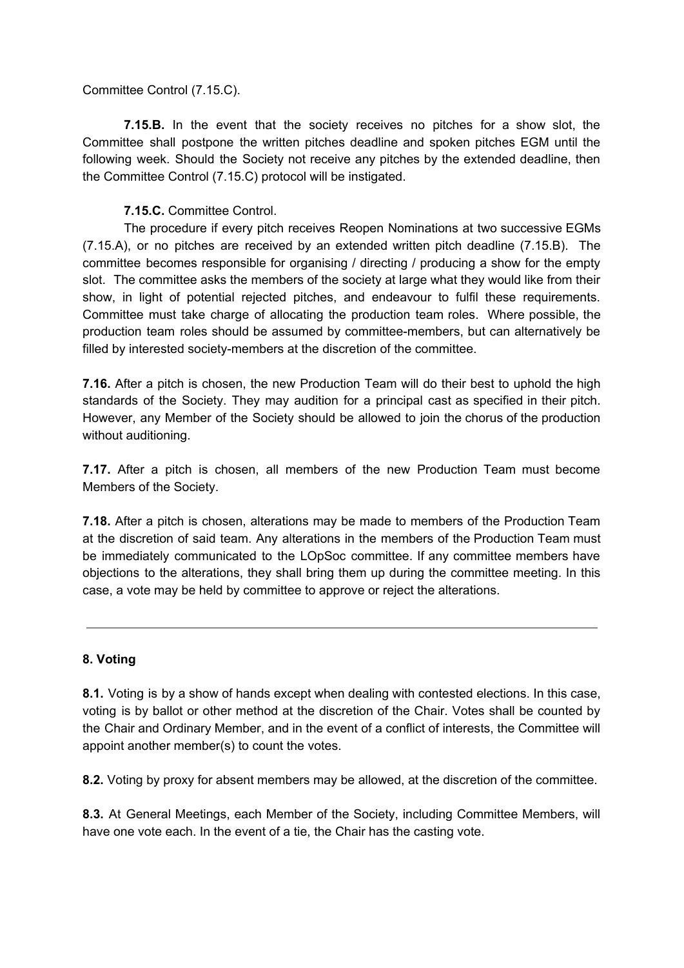Committee Control (7.15.C).

**7.15.B.** In the event that the society receives no pitches for a show slot, the Committee shall postpone the written pitches deadline and spoken pitches EGM until the following week. Should the Society not receive any pitches by the extended deadline, then the Committee Control (7.15.C) protocol will be instigated.

**7.15.C.** Committee Control.

The procedure if every pitch receives Reopen Nominations at two successive EGMs (7.15.A), or no pitches are received by an extended written pitch deadline (7.15.B). The committee becomes responsible for organising / directing / producing a show for the empty slot. The committee asks the members of the society at large what they would like from their show, in light of potential rejected pitches, and endeavour to fulfil these requirements. Committee must take charge of allocating the production team roles. Where possible, the production team roles should be assumed by committee-members, but can alternatively be filled by interested society-members at the discretion of the committee.

**7.16.** After a pitch is chosen, the new Production Team will do their best to uphold the high standards of the Society. They may audition for a principal cast as specified in their pitch. However, any Member of the Society should be allowed to join the chorus of the production without auditioning.

**7.17.** After a pitch is chosen, all members of the new Production Team must become Members of the Society.

**7.18.** After a pitch is chosen, alterations may be made to members of the Production Team at the discretion of said team. Any alterations in the members of the Production Team must be immediately communicated to the LOpSoc committee. If any committee members have objections to the alterations, they shall bring them up during the committee meeting. In this case, a vote may be held by committee to approve or reject the alterations.

# **8. Voting**

**8.1.** Voting is by a show of hands except when dealing with contested elections. In this case, voting is by ballot or other method at the discretion of the Chair. Votes shall be counted by the Chair and Ordinary Member, and in the event of a conflict of interests, the Committee will appoint another member(s) to count the votes.

**8.2.** Voting by proxy for absent members may be allowed, at the discretion of the committee.

**8.3.** At General Meetings, each Member of the Society, including Committee Members, will have one vote each. In the event of a tie, the Chair has the casting vote.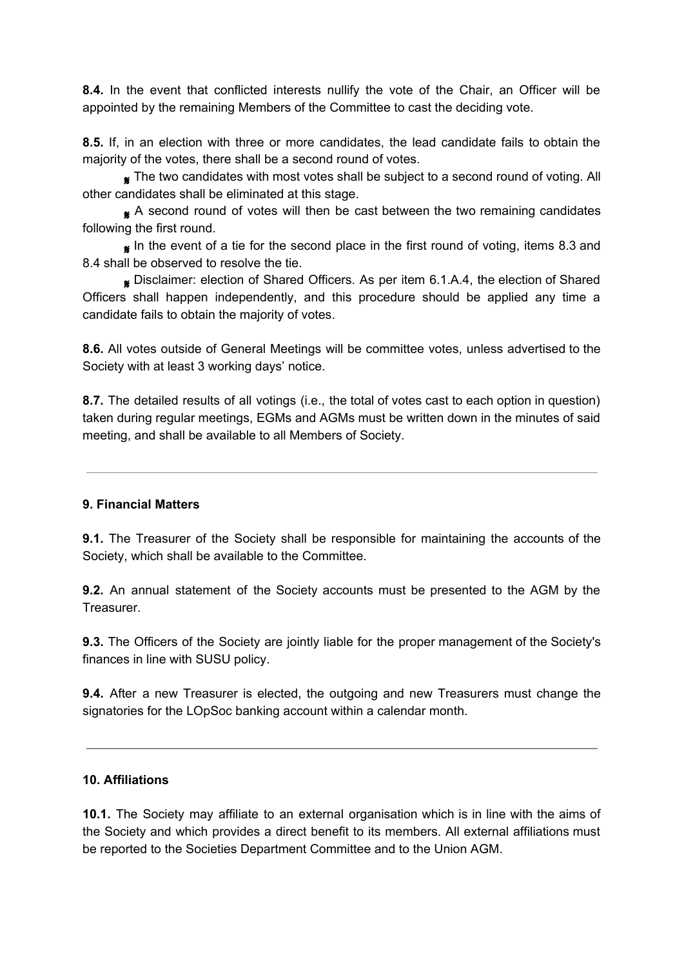**8.4.** In the event that conflicted interests nullify the vote of the Chair, an Officer will be appointed by the remaining Members of the Committee to cast the deciding vote.

**8.5.** If, in an election with three or more candidates, the lead candidate fails to obtain the majority of the votes, there shall be a second round of votes.

 The two candidates with most votes shall be subject to a second round of voting. All other candidates shall be eliminated at this stage.

A second round of votes will then be cast between the two remaining candidates following the first round.

In the event of a tie for the second place in the first round of voting, items 8.3 and 8.4 shall be observed to resolve the tie.

 Disclaimer: election of Shared Officers. As per item 6.1.A.4, the election of Shared Officers shall happen independently, and this procedure should be applied any time a candidate fails to obtain the majority of votes.

**8.6.** All votes outside of General Meetings will be committee votes, unless advertised to the Society with at least 3 working days' notice.

**8.7.** The detailed results of all votings (i.e., the total of votes cast to each option in question) taken during regular meetings, EGMs and AGMs must be written down in the minutes of said meeting, and shall be available to all Members of Society.

## **9. Financial Matters**

**9.1.** The Treasurer of the Society shall be responsible for maintaining the accounts of the Society, which shall be available to the Committee.

**9.2.** An annual statement of the Society accounts must be presented to the AGM by the Treasurer.

**9.3.** The Officers of the Society are jointly liable for the proper management of the Society's finances in line with SUSU policy.

**9.4.** After a new Treasurer is elected, the outgoing and new Treasurers must change the signatories for the LOpSoc banking account within a calendar month.

## **10. Affiliations**

**10.1.** The Society may affiliate to an external organisation which is in line with the aims of the Society and which provides a direct benefit to its members. All external affiliations must be reported to the Societies Department Committee and to the Union AGM.